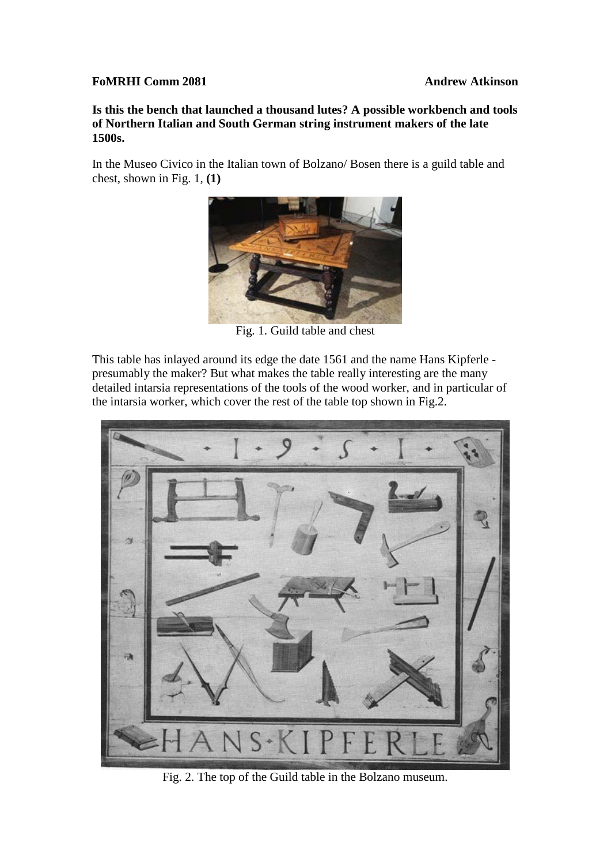## **FoMRHI Comm 2081 Andrew Atkinson**

**Is this the bench that launched a thousand lutes? A possible workbench and tools of Northern Italian and South German string instrument makers of the late 1500s.** 

In the Museo Civico in the Italian town of Bolzano/ Bosen there is a guild table and chest, shown in Fig. 1, **(1)**



Fig. 1. Guild table and chest

This table has inlayed around its edge the date 1561 and the name Hans Kipferle presumably the maker? But what makes the table really interesting are the many detailed intarsia representations of the tools of the wood worker, and in particular of the intarsia worker, which cover the rest of the table top shown in Fig.2.



Fig. 2. The top of the Guild table in the Bolzano museum.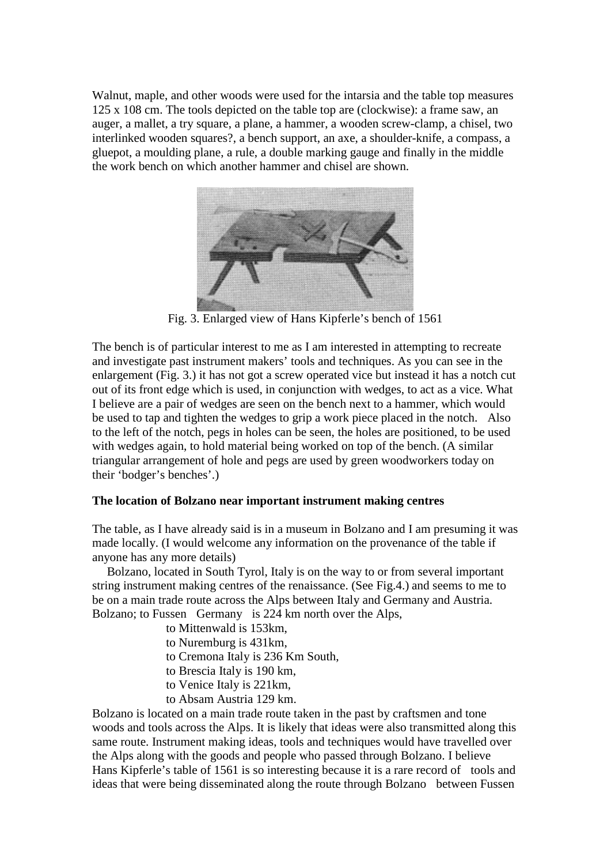Walnut, maple, and other woods were used for the intarsia and the table top measures 125 x 108 cm. The tools depicted on the table top are (clockwise): a frame saw, an auger, a mallet, a try square, a plane, a hammer, a wooden screw-clamp, a chisel, two interlinked wooden squares?, a bench support, an axe, a shoulder-knife, a compass, a gluepot, a moulding plane, a rule, a double marking gauge and finally in the middle the work bench on which another hammer and chisel are shown.



Fig. 3. Enlarged view of Hans Kipferle's bench of 1561

The bench is of particular interest to me as I am interested in attempting to recreate and investigate past instrument makers' tools and techniques. As you can see in the enlargement (Fig. 3.) it has not got a screw operated vice but instead it has a notch cut out of its front edge which is used, in conjunction with wedges, to act as a vice. What I believe are a pair of wedges are seen on the bench next to a hammer, which would be used to tap and tighten the wedges to grip a work piece placed in the notch. Also to the left of the notch, pegs in holes can be seen, the holes are positioned, to be used with wedges again, to hold material being worked on top of the bench. (A similar triangular arrangement of hole and pegs are used by green woodworkers today on their 'bodger's benches'.)

## **The location of Bolzano near important instrument making centres**

The table, as I have already said is in a museum in Bolzano and I am presuming it was made locally. (I would welcome any information on the provenance of the table if anyone has any more details)

 Bolzano, located in South Tyrol, Italy is on the way to or from several important string instrument making centres of the renaissance. (See Fig.4.) and seems to me to be on a main trade route across the Alps between Italy and Germany and Austria. Bolzano; to Fussen Germany is 224 km north over the Alps,

- to Mittenwald is 153km,
- to Nuremburg is 431km,
- to Cremona Italy is 236 Km South,
- to Brescia Italy is 190 km,
- to Venice Italy is 221km,
- to Absam Austria 129 km.

Bolzano is located on a main trade route taken in the past by craftsmen and tone woods and tools across the Alps. It is likely that ideas were also transmitted along this same route. Instrument making ideas, tools and techniques would have travelled over the Alps along with the goods and people who passed through Bolzano. I believe Hans Kipferle's table of 1561 is so interesting because it is a rare record of tools and ideas that were being disseminated along the route through Bolzano between Fussen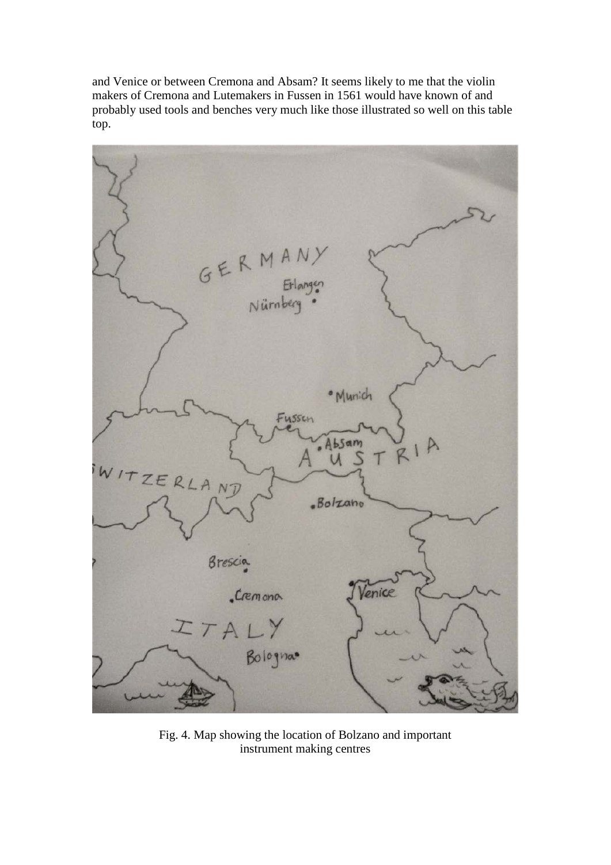and Venice or between Cremona and Absam? It seems likely to me that the violin makers of Cremona and Lutemakers in Fussen in 1561 would have known of and probably used tools and benches very much like those illustrated so well on this table top.



Fig. 4. Map showing the location of Bolzano and important instrument making centres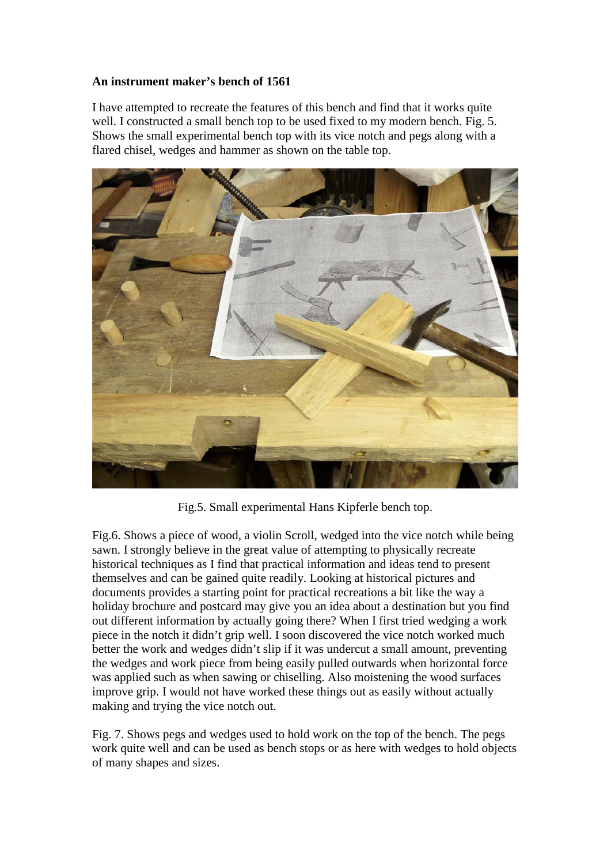## **An instrument maker's bench of 1561**

I have attempted to recreate the features of this bench and find that it works quite well. I constructed a small bench top to be used fixed to my modern bench. Fig. 5. Shows the small experimental bench top with its vice notch and pegs along with a flared chisel, wedges and hammer as shown on the table top.



Fig.5. Small experimental Hans Kipferle bench top.

Fig.6. Shows a piece of wood, a violin Scroll, wedged into the vice notch while being sawn. I strongly believe in the great value of attempting to physically recreate historical techniques as I find that practical information and ideas tend to present themselves and can be gained quite readily. Looking at historical pictures and documents provides a starting point for practical recreations a bit like the way a holiday brochure and postcard may give you an idea about a destination but you find out different information by actually going there? When I first tried wedging a work piece in the notch it didn't grip well. I soon discovered the vice notch worked much better the work and wedges didn't slip if it was undercut a small amount, preventing the wedges and work piece from being easily pulled outwards when horizontal force was applied such as when sawing or chiselling. Also moistening the wood surfaces improve grip. I would not have worked these things out as easily without actually making and trying the vice notch out.

Fig. 7. Shows pegs and wedges used to hold work on the top of the bench. The pegs work quite well and can be used as bench stops or as here with wedges to hold objects of many shapes and sizes.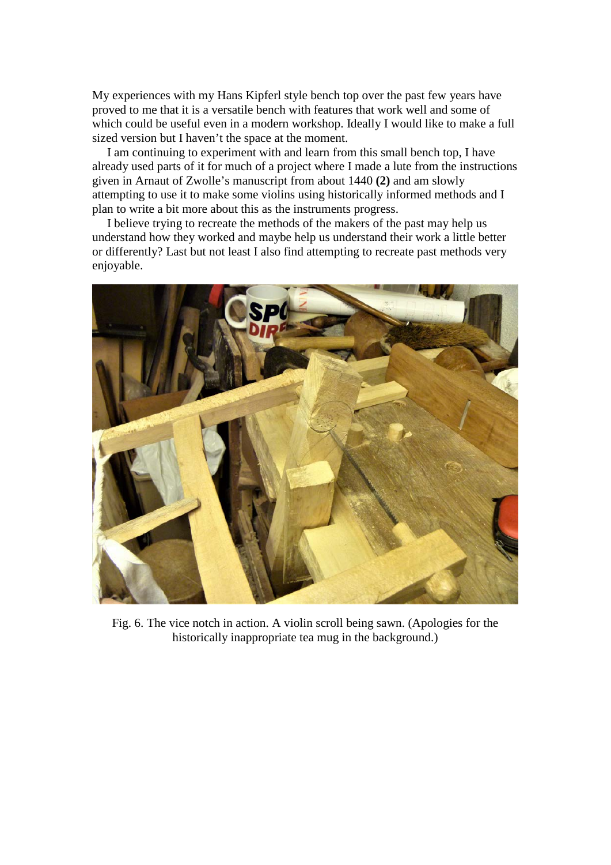My experiences with my Hans Kipferl style bench top over the past few years have proved to me that it is a versatile bench with features that work well and some of which could be useful even in a modern workshop. Ideally I would like to make a full sized version but I haven't the space at the moment.

 I am continuing to experiment with and learn from this small bench top, I have already used parts of it for much of a project where I made a lute from the instructions given in Arnaut of Zwolle's manuscript from about 1440 **(2)** and am slowly attempting to use it to make some violins using historically informed methods and I plan to write a bit more about this as the instruments progress.

 I believe trying to recreate the methods of the makers of the past may help us understand how they worked and maybe help us understand their work a little better or differently? Last but not least I also find attempting to recreate past methods very enjoyable.



Fig. 6. The vice notch in action. A violin scroll being sawn. (Apologies for the historically inappropriate tea mug in the background.)